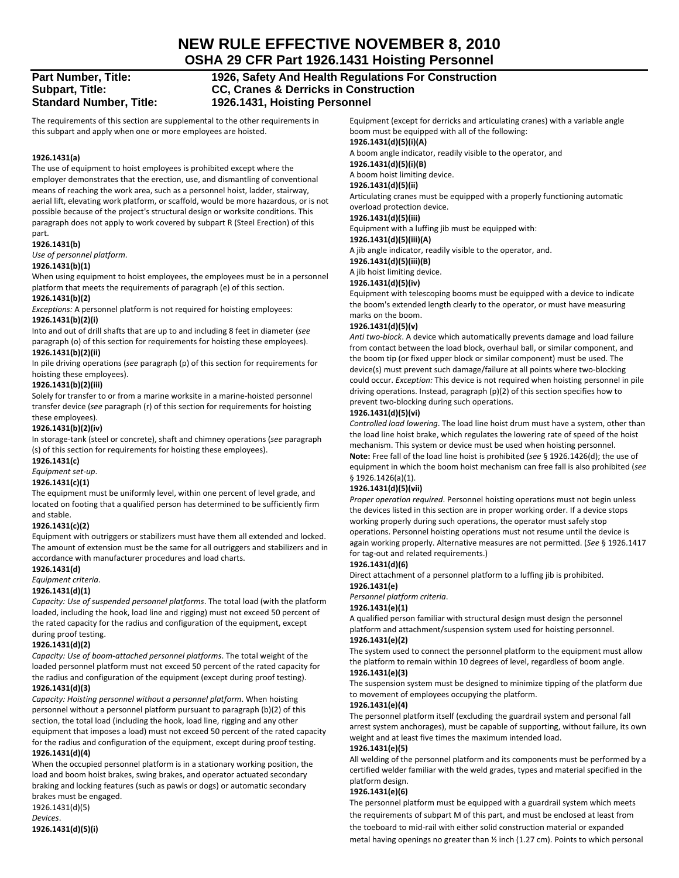# **NEW RULE EFFECTIVE NOVEMBER 8, 2010**

**OSHA 29 CFR Part 1926.1431 Hoisting Personnel** 

# **Part Number, Title: 1926, Safety And Health Regulations For Construction Subpart, Title: CC, Cranes & Derricks in Construction Standard Number, Title: 1926.1431, Hoisting Personnel**

The requirements of this section are supplemental to the other requirements in this subpart and apply when one or more employees are hoisted.

# **1926.1431(a)**

The use of equipment to hoist employees is prohibited except where the employer demonstrates that the erection, use, and dismantling of conventional means of reaching the work area, such as a personnel hoist, ladder, stairway, aerial lift, elevating work platform, or scaffold, would be more hazardous, or is not possible because of the project's structural design or worksite conditions. This paragraph does not apply to work covered by subpart R (Steel Erection) of this part.

# **1926.1431(b)**

*Use of personnel platform*.

# **1926.1431(b)(1)**

When using equipment to hoist employees, the employees must be in a personnel platform that meets the requirements of paragraph (e) of this section.

# **1926.1431(b)(2)**

*Exceptions:* A personnel platform is not required for hoisting employees: **1926.1431(b)(2)(i)**

Into and out of drill shafts that are up to and including 8 feet in diameter (*see* paragraph (o) of this section for requirements for hoisting these employees). **1926.1431(b)(2)(ii)**

In pile driving operations (*see* paragraph (p) of this section for requirements for hoisting these employees).

# **1926.1431(b)(2)(iii)**

Solely for transfer to or from a marine worksite in a marine‐hoisted personnel transfer device (*see* paragraph (r) of this section for requirements for hoisting these employees).

# **1926.1431(b)(2)(iv)**

In storage‐tank (steel or concrete), shaft and chimney operations (*see* paragraph (s) of this section for requirements for hoisting these employees).

# **1926.1431(c)**

# *Equipment set‐up*.

# **1926.1431(c)(1)**

The equipment must be uniformly level, within one percent of level grade, and located on footing that a qualified person has determined to be sufficiently firm and stable.

# **1926.1431(c)(2)**

Equipment with outriggers or stabilizers must have them all extended and locked. The amount of extension must be the same for all outriggers and stabilizers and in accordance with manufacturer procedures and load charts.

# **1926.1431(d)**

*Equipment criteria*.

# **1926.1431(d)(1)**

*Capacity: Use of suspended personnel platforms*. The total load (with the platform loaded, including the hook, load line and rigging) must not exceed 50 percent of the rated capacity for the radius and configuration of the equipment, except during proof testing.

# **1926.1431(d)(2)**

*Capacity: Use of boom‐attached personnel platforms*. The total weight of the loaded personnel platform must not exceed 50 percent of the rated capacity for the radius and configuration of the equipment (except during proof testing). **1926.1431(d)(3)**

*Capacity: Hoisting personnel without a personnel platform*. When hoisting personnel without a personnel platform pursuant to paragraph (b)(2) of this section, the total load (including the hook, load line, rigging and any other equipment that imposes a load) must not exceed 50 percent of the rated capacity for the radius and configuration of the equipment, except during proof testing. **1926.1431(d)(4)**

When the occupied personnel platform is in a stationary working position, the load and boom hoist brakes, swing brakes, and operator actuated secondary braking and locking features (such as pawls or dogs) or automatic secondary brakes must be engaged.

# 1926.1431(d)(5) *Devices*.

**1926.1431(d)(5)(i)**

Equipment (except for derricks and articulating cranes) with a variable angle boom must be equipped with all of the following:

**1926.1431(d)(5)(i)(A)**

A boom angle indicator, readily visible to the operator, and

# **1926.1431(d)(5)(i)(B)**

A boom hoist limiting device.

# **1926.1431(d)(5)(ii)**

Articulating cranes must be equipped with a properly functioning automatic overload protection device.

# **1926.1431(d)(5)(iii)**

Equipment with a luffing jib must be equipped with:

# **1926.1431(d)(5)(iii)(A)**

A jib angle indicator, readily visible to the operator, and.

# **1926.1431(d)(5)(iii)(B)**

A jib hoist limiting device.

# **1926.1431(d)(5)(iv)**

Equipment with telescoping booms must be equipped with a device to indicate the boom's extended length clearly to the operator, or must have measuring marks on the boom.

# **1926.1431(d)(5)(v)**

*Anti two‐block*. A device which automatically prevents damage and load failure from contact between the load block, overhaul ball, or similar component, and the boom tip (or fixed upper block or similar component) must be used. The device(s) must prevent such damage/failure at all points where two‐blocking could occur. *Exception:* This device is not required when hoisting personnel in pile driving operations. Instead, paragraph (p)(2) of this section specifies how to prevent two‐blocking during such operations.

# **1926.1431(d)(5)(vi)**

*Controlled load lowering*. The load line hoist drum must have a system, other than the load line hoist brake, which regulates the lowering rate of speed of the hoist mechanism. This system or device must be used when hoisting personnel. **Note:** Free fall of the load line hoist is prohibited (*see* § 1926.1426(d); the use of equipment in which the boom hoist mechanism can free fall is also prohibited (*see* § 1926.1426(a)(1).

# **1926.1431(d)(5)(vii)**

*Proper operation required*. Personnel hoisting operations must not begin unless the devices listed in this section are in proper working order. If a device stops working properly during such operations, the operator must safely stop operations. Personnel hoisting operations must not resume until the device is again working properly. Alternative measures are not permitted. (*See* § 1926.1417 for tag‐out and related requirements.)

#### **1926.1431(d)(6)**

Direct attachment of a personnel platform to a luffing jib is prohibited. **1926.1431(e)**

# *Personnel platform criteria*.

#### **1926.1431(e)(1)**

A qualified person familiar with structural design must design the personnel platform and attachment/suspension system used for hoisting personnel.

# **1926.1431(e)(2)**

The system used to connect the personnel platform to the equipment must allow the platform to remain within 10 degrees of level, regardless of boom angle. **1926.1431(e)(3)**

The suspension system must be designed to minimize tipping of the platform due to movement of employees occupying the platform.

# **1926.1431(e)(4)**

The personnel platform itself (excluding the guardrail system and personal fall arrest system anchorages), must be capable of supporting, without failure, its own weight and at least five times the maximum intended load. **1926.1431(e)(5)**

All welding of the personnel platform and its components must be performed by a certified welder familiar with the weld grades, types and material specified in the platform design.

#### **1926.1431(e)(6)**

The personnel platform must be equipped with a guardrail system which meets the requirements of subpart M of this part, and must be enclosed at least from the toeboard to mid‐rail with either solid construction material or expanded metal having openings no greater than ½ inch (1.27 cm). Points to which personal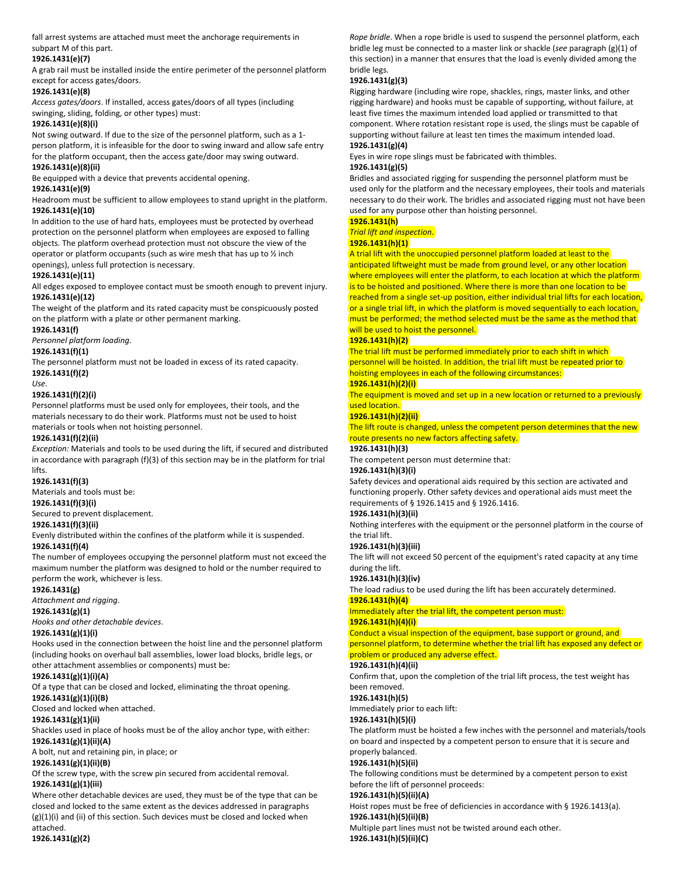fall arrest systems are attached must meet the anchorage requirements in subpart M of this part.

# **1926.1431(e)(7)**

A grab rail must be installed inside the entire perimeter of the personnel platform except for access gates/doors.

# **1926.1431(e)(8)**

*Access gates/doors*. If installed, access gates/doors of all types (including swinging, sliding, folding, or other types) must:

# **1926.1431(e)(8)(i)**

Not swing outward. If due to the size of the personnel platform, such as a 1‐ person platform, it is infeasible for the door to swing inward and allow safe entry for the platform occupant, then the access gate/door may swing outward. **1926.1431(e)(8)(ii)**

Be equipped with a device that prevents accidental opening.

# **1926.1431(e)(9)**

Headroom must be sufficient to allow employees to stand upright in the platform. **1926.1431(e)(10)**

In addition to the use of hard hats, employees must be protected by overhead protection on the personnel platform when employees are exposed to falling objects. The platform overhead protection must not obscure the view of the operator or platform occupants (such as wire mesh that has up to ½ inch openings), unless full protection is necessary.

# **1926.1431(e)(11)**

All edges exposed to employee contact must be smooth enough to prevent injury. **1926.1431(e)(12)**

The weight of the platform and its rated capacity must be conspicuously posted on the platform with a plate or other permanent marking.

# **1926.1431(f)**

*Personnel platform loading*.

# **1926.1431(f)(1)**

The personnel platform must not be loaded in excess of its rated capacity. **1926.1431(f)(2)**

*Use*.

# **1926.1431(f)(2)(i)**

Personnel platforms must be used only for employees, their tools, and the materials necessary to do their work. Platforms must not be used to hoist materials or tools when not hoisting personnel.

#### **1926.1431(f)(2)(ii)**

*Exception:* Materials and tools to be used during the lift, if secured and distributed in accordance with paragraph (f)(3) of this section may be in the platform for trial lifts.

# **1926.1431(f)(3)**

Materials and tools must be:

# **1926.1431(f)(3)(i)**

Secured to prevent displacement.

# **1926.1431(f)(3)(ii)**

Evenly distributed within the confines of the platform while it is suspended.

**1926.1431(f)(4)**

The number of employees occupying the personnel platform must not exceed the maximum number the platform was designed to hold or the number required to perform the work, whichever is less.

# **1926.1431(g)**

*Attachment and rigging*.

# **1926.1431(g)(1)**

*Hooks and other detachable devices*.

# **1926.1431(g)(1)(i)**

Hooks used in the connection between the hoist line and the personnel platform (including hooks on overhaul ball assemblies, lower load blocks, bridle legs, or other attachment assemblies or components) must be:

# **1926.1431(g)(1)(i)(A)**

Of a type that can be closed and locked, eliminating the throat opening. **1926.1431(g)(1)(i)(B)**

Closed and locked when attached.

# **1926.1431(g)(1)(ii)**

Shackles used in place of hooks must be of the alloy anchor type, with either: **1926.1431(g)(1)(ii)(A)**

# A bolt, nut and retaining pin, in place; or

**1926.1431(g)(1)(ii)(B)**

Of the screw type, with the screw pin secured from accidental removal. **1926.1431(g)(1)(iii)**

Where other detachable devices are used, they must be of the type that can be closed and locked to the same extent as the devices addressed in paragraphs (g)(1)(i) and (ii) of this section. Such devices must be closed and locked when attached.

# **1926.1431(g)(2)**

*Rope bridle*. When a rope bridle is used to suspend the personnel platform, each bridle leg must be connected to a master link or shackle (*see* paragraph (g)(1) of this section) in a manner that ensures that the load is evenly divided among the bridle legs.

# **1926.1431(g)(3)**

Rigging hardware (including wire rope, shackles, rings, master links, and other rigging hardware) and hooks must be capable of supporting, without failure, at least five times the maximum intended load applied or transmitted to that component. Where rotation resistant rope is used, the slings must be capable of supporting without failure at least ten times the maximum intended load. **1926.1431(g)(4)**

Eyes in wire rope slings must be fabricated with thimbles.

# **1926.1431(g)(5)**

Bridles and associated rigging for suspending the personnel platform must be used only for the platform and the necessary employees, their tools and materials necessary to do their work. The bridles and associated rigging must not have been used for any purpose other than hoisting personnel.

**1926.1431(h)** *Trial lift and inspection*.

# **1926.1431(h)(1)**

# A trial lift with the unoccupied personnel platform loaded at least to the

anticipated liftweight must be made from ground level, or any other location where employees will enter the platform, to each location at which the platform is to be hoisted and positioned. Where there is more than one location to be reached from a single set-up position, either individual trial lifts for each location, or a single trial lift, in which the platform is moved sequentially to each location, must be performed; the method selected must be the same as the method that will be used to hoist the personnel.

#### **1926.1431(h)(2)**

The trial lift must be performed immediately prior to each shift in which personnel will be hoisted. In addition, the trial lift must be repeated prior to hoisting employees in each of the following circumstances:

#### **1926.1431(h)(2)(i)**

The equipment is moved and set up in a new location or returned to a previously used location.

# **1926.1431(h)(2)(ii)**

The lift route is changed, unless the competent person determines that the new route presents no new factors affecting safety.

#### **1926.1431(h)(3)**

The competent person must determine that:

#### **1926.1431(h)(3)(i)**

Safety devices and operational aids required by this section are activated and functioning properly. Other safety devices and operational aids must meet the requirements of § 1926.1415 and § 1926.1416.

# **1926.1431(h)(3)(ii)**

Nothing interferes with the equipment or the personnel platform in the course of the trial lift.

#### **1926.1431(h)(3)(iii)**

The lift will not exceed 50 percent of the equipment's rated capacity at any time during the lift.

# **1926.1431(h)(3)(iv)**

The load radius to be used during the lift has been accurately determined.

# **1926.1431(h)(4)**

Immediately after the trial lift, the competent person must: **1926.1431(h)(4)(i)**

Conduct a visual inspection of the equipment, base support or ground, and personnel platform, to determine whether the trial lift has exposed any defect or problem or produced any adverse effect.

# **1926.1431(h)(4)(ii)**

Confirm that, upon the completion of the trial lift process, the test weight has been removed.

# **1926.1431(h)(5)**

Immediately prior to each lift:

# **1926.1431(h)(5)(i)**

The platform must be hoisted a few inches with the personnel and materials/tools on board and inspected by a competent person to ensure that it is secure and properly balanced.

# **1926.1431(h)(5)(ii)**

The following conditions must be determined by a competent person to exist before the lift of personnel proceeds:

#### **1926.1431(h)(5)(ii)(A)**

Hoist ropes must be free of deficiencies in accordance with § 1926.1413(a). **1926.1431(h)(5)(ii)(B)**

Multiple part lines must not be twisted around each other.

# **1926.1431(h)(5)(ii)(C)**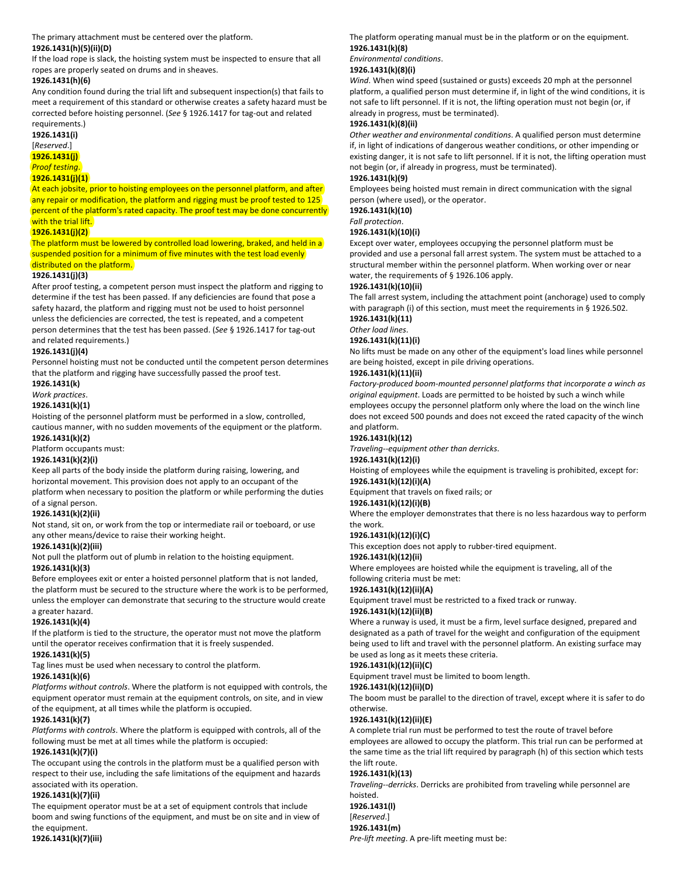The primary attachment must be centered over the platform.

# **1926.1431(h)(5)(ii)(D)**

If the load rope is slack, the hoisting system must be inspected to ensure that all ropes are properly seated on drums and in sheaves.

# **1926.1431(h)(6)**

Any condition found during the trial lift and subsequent inspection(s) that fails to meet a requirement of this standard or otherwise creates a safety hazard must be corrected before hoisting personnel. (See § 1926.1417 for tag-out and related requirements.)

# **1926.1431(i)** [*Reserved*.]

**1926.1431(j)** *Proof testing*.

# **1926.1431(j)(1)**

At each jobsite, prior to hoisting employees on the personnel platform, and after any repair or modification, the platform and rigging must be proof tested to 125 percent of the platform's rated capacity. The proof test may be done concurrently with the trial lift.

# **1926.1431(j)(2)**

The platform must be lowered by controlled load lowering, braked, and held in a suspended position for a minimum of five minutes with the test load evenly distributed on the platform.

# **1926.1431(j)(3)**

After proof testing, a competent person must inspect the platform and rigging to determine if the test has been passed. If any deficiencies are found that pose a safety hazard, the platform and rigging must not be used to hoist personnel unless the deficiencies are corrected, the test is repeated, and a competent person determines that the test has been passed. (*See* § 1926.1417 for tag‐out and related requirements.)

# **1926.1431(j)(4)**

Personnel hoisting must not be conducted until the competent person determines that the platform and rigging have successfully passed the proof test.

# **1926.1431(k)**

*Work practices*.

#### **1926.1431(k)(1)**

Hoisting of the personnel platform must be performed in a slow, controlled, cautious manner, with no sudden movements of the equipment or the platform. **1926.1431(k)(2)**

Platform occupants must:

# **1926.1431(k)(2)(i)**

Keep all parts of the body inside the platform during raising, lowering, and horizontal movement. This provision does not apply to an occupant of the platform when necessary to position the platform or while performing the duties of a signal person.

# **1926.1431(k)(2)(ii)**

Not stand, sit on, or work from the top or intermediate rail or toeboard, or use any other means/device to raise their working height.

**1926.1431(k)(2)(iii)**

Not pull the platform out of plumb in relation to the hoisting equipment.

#### **1926.1431(k)(3)**

Before employees exit or enter a hoisted personnel platform that is not landed, the platform must be secured to the structure where the work is to be performed, unless the employer can demonstrate that securing to the structure would create a greater hazard.

# **1926.1431(k)(4)**

If the platform is tied to the structure, the operator must not move the platform until the operator receives confirmation that it is freely suspended.

# **1926.1431(k)(5)**

Tag lines must be used when necessary to control the platform.

#### **1926.1431(k)(6)**

*Platforms without controls*. Where the platform is not equipped with controls, the equipment operator must remain at the equipment controls, on site, and in view of the equipment, at all times while the platform is occupied.

#### **1926.1431(k)(7)**

*Platforms with controls*. Where the platform is equipped with controls, all of the following must be met at all times while the platform is occupied:

#### **1926.1431(k)(7)(i)**

The occupant using the controls in the platform must be a qualified person with respect to their use, including the safe limitations of the equipment and hazards associated with its operation.

#### **1926.1431(k)(7)(ii)**

The equipment operator must be at a set of equipment controls that include boom and swing functions of the equipment, and must be on site and in view of the equipment.

**1926.1431(k)(7)(iii)**

# The platform operating manual must be in the platform or on the equipment. **1926.1431(k)(8)**

*Environmental conditions*.

#### **1926.1431(k)(8)(i)**

*Wind*. When wind speed (sustained or gusts) exceeds 20 mph at the personnel platform, a qualified person must determine if, in light of the wind conditions, it is not safe to lift personnel. If it is not, the lifting operation must not begin (or, if already in progress, must be terminated).

# **1926.1431(k)(8)(ii)**

*Other weather and environmental conditions*. A qualified person must determine if, in light of indications of dangerous weather conditions, or other impending or existing danger, it is not safe to lift personnel. If it is not, the lifting operation must not begin (or, if already in progress, must be terminated).

# **1926.1431(k)(9)**

Employees being hoisted must remain in direct communication with the signal person (where used), or the operator.

#### **1926.1431(k)(10)**

*Fall protection*.

# **1926.1431(k)(10)(i)**

Except over water, employees occupying the personnel platform must be provided and use a personal fall arrest system. The system must be attached to a structural member within the personnel platform. When working over or near water, the requirements of § 1926.106 apply.

# **1926.1431(k)(10)(ii)**

The fall arrest system, including the attachment point (anchorage) used to comply with paragraph (i) of this section, must meet the requirements in § 1926.502. **1926.1431(k)(11)**

# *Other load lines*.

# **1926.1431(k)(11)(i)**

No lifts must be made on any other of the equipment's load lines while personnel are being hoisted, except in pile driving operations.

#### **1926.1431(k)(11)(ii)**

*Factory‐produced boom‐mounted personnel platforms that incorporate a winch as original equipment*. Loads are permitted to be hoisted by such a winch while employees occupy the personnel platform only where the load on the winch line does not exceed 500 pounds and does not exceed the rated capacity of the winch and platform.

# **1926.1431(k)(12)**

*Traveling‐‐equipment other than derricks*.

# **1926.1431(k)(12)(i)**

Hoisting of employees while the equipment is traveling is prohibited, except for: **1926.1431(k)(12)(i)(A)**

#### Equipment that travels on fixed rails; or

**1926.1431(k)(12)(i)(B)**

Where the employer demonstrates that there is no less hazardous way to perform the work.

#### **1926.1431(k)(12)(i)(C)**

This exception does not apply to rubber‐tired equipment.

#### **1926.1431(k)(12)(ii)**

Where employees are hoisted while the equipment is traveling, all of the following criteria must be met:

#### **1926.1431(k)(12)(ii)(A)**

Equipment travel must be restricted to a fixed track or runway.

#### **1926.1431(k)(12)(ii)(B)**

Where a runway is used, it must be a firm, level surface designed, prepared and designated as a path of travel for the weight and configuration of the equipment being used to lift and travel with the personnel platform. An existing surface may be used as long as it meets these criteria.

# **1926.1431(k)(12)(ii)(C)**

Equipment travel must be limited to boom length.

#### **1926.1431(k)(12)(ii)(D)**

The boom must be parallel to the direction of travel, except where it is safer to do otherwise.

#### **1926.1431(k)(12)(ii)(E)**

A complete trial run must be performed to test the route of travel before employees are allowed to occupy the platform. This trial run can be performed at the same time as the trial lift required by paragraph (h) of this section which tests the lift route.

#### **1926.1431(k)(13)**

*Traveling‐‐derricks*. Derricks are prohibited from traveling while personnel are hoisted. **1926.1431(l)** [*Reserved*.] **1926.1431(m)** *Pre‐lift meeting*. A pre‐lift meeting must be: